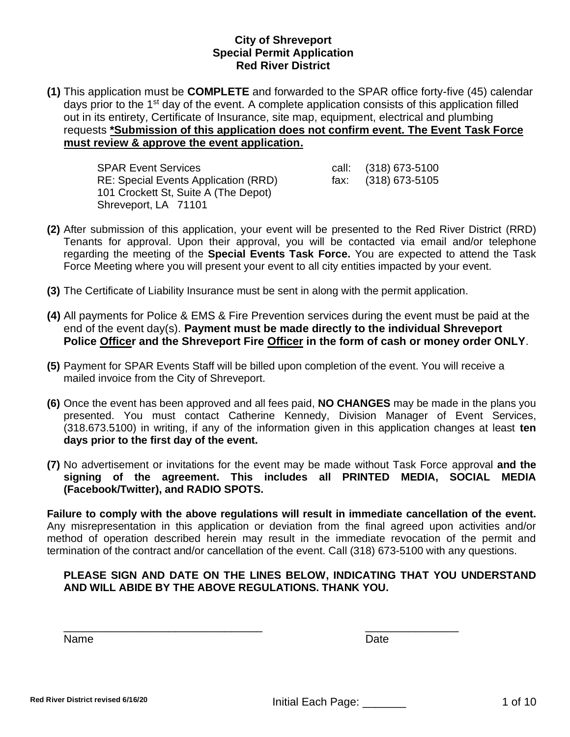**(1)** This application must be **COMPLETE** and forwarded to the SPAR office forty-five (45) calendar days prior to the 1st day of the event. A complete application consists of this application filled out in its entirety, Certificate of Insurance, site map, equipment, electrical and plumbing requests **\*Submission of this application does not confirm event. The Event Task Force must review & approve the event application.**

| <b>SPAR Event Services</b>           | call: (318) 673-5100 |
|--------------------------------------|----------------------|
| RE: Special Events Application (RRD) | fax: (318) 673-5105  |
| 101 Crockett St, Suite A (The Depot) |                      |
| Shreveport, LA 71101                 |                      |

- **(2)** After submission of this application, your event will be presented to the Red River District (RRD) Tenants for approval. Upon their approval, you will be contacted via email and/or telephone regarding the meeting of the **Special Events Task Force.** You are expected to attend the Task Force Meeting where you will present your event to all city entities impacted by your event.
- **(3)** The Certificate of Liability Insurance must be sent in along with the permit application.
- **(4)** All payments for Police & EMS & Fire Prevention services during the event must be paid at the end of the event day(s). **Payment must be made directly to the individual Shreveport Police Officer and the Shreveport Fire Officer in the form of cash or money order ONLY**.
- **(5)** Payment for SPAR Events Staff will be billed upon completion of the event. You will receive a mailed invoice from the City of Shreveport.
- **(6)** Once the event has been approved and all fees paid, **NO CHANGES** may be made in the plans you presented. You must contact Catherine Kennedy, Division Manager of Event Services, (318.673.5100) in writing, if any of the information given in this application changes at least **ten days prior to the first day of the event.**
- **(7)** No advertisement or invitations for the event may be made without Task Force approval **and the signing of the agreement. This includes all PRINTED MEDIA, SOCIAL MEDIA (Facebook/Twitter), and RADIO SPOTS.**

**Failure to comply with the above regulations will result in immediate cancellation of the event.**  Any misrepresentation in this application or deviation from the final agreed upon activities and/or method of operation described herein may result in the immediate revocation of the permit and termination of the contract and/or cancellation of the event. Call (318) 673-5100 with any questions.

# **PLEASE SIGN AND DATE ON THE LINES BELOW, INDICATING THAT YOU UNDERSTAND AND WILL ABIDE BY THE ABOVE REGULATIONS. THANK YOU.**

\_\_\_\_\_\_\_\_\_\_\_\_\_\_\_\_\_\_\_\_\_\_\_\_\_\_\_\_\_\_\_\_ \_\_\_\_\_\_\_\_\_\_\_\_\_\_\_

Name Date **Date**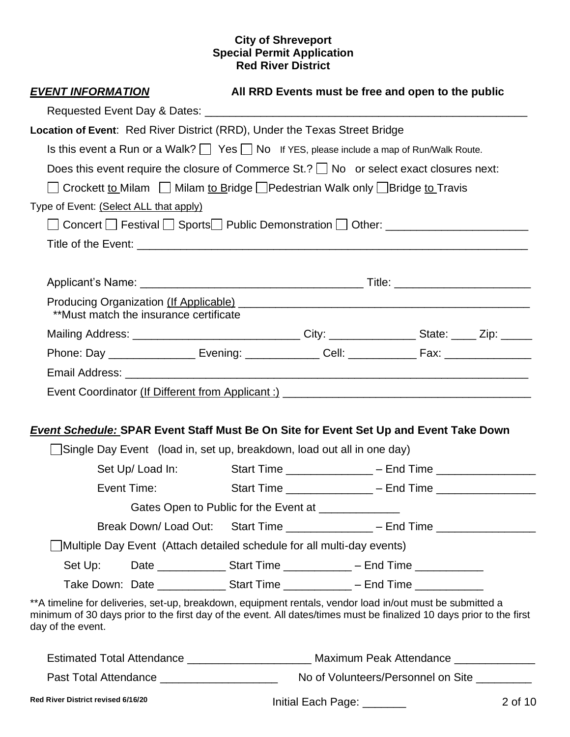| <b>EVENT INFORMATION</b>                                                                                                                                                                                                                               |                                                                                     | All RRD Events must be free and open to the public |                                                                                    |  |         |  |  |
|--------------------------------------------------------------------------------------------------------------------------------------------------------------------------------------------------------------------------------------------------------|-------------------------------------------------------------------------------------|----------------------------------------------------|------------------------------------------------------------------------------------|--|---------|--|--|
|                                                                                                                                                                                                                                                        |                                                                                     |                                                    |                                                                                    |  |         |  |  |
| Location of Event: Red River District (RRD), Under the Texas Street Bridge                                                                                                                                                                             |                                                                                     |                                                    |                                                                                    |  |         |  |  |
| Is this event a Run or a Walk? $\Box$ Yes $\Box$ No If YES, please include a map of Run/Walk Route.                                                                                                                                                    |                                                                                     |                                                    |                                                                                    |  |         |  |  |
| Does this event require the closure of Commerce $St. ?$ No or select exact closures next:                                                                                                                                                              |                                                                                     |                                                    |                                                                                    |  |         |  |  |
| ◯ Crockett to Milam ◯ Milam to Bridge ◯ Pedestrian Walk only ◯ Bridge to Travis                                                                                                                                                                        |                                                                                     |                                                    |                                                                                    |  |         |  |  |
| Type of Event: (Select ALL that apply)                                                                                                                                                                                                                 |                                                                                     |                                                    |                                                                                    |  |         |  |  |
| □ Concert □ Festival □ Sports □ Public Demonstration □ Other: _________________                                                                                                                                                                        |                                                                                     |                                                    |                                                                                    |  |         |  |  |
|                                                                                                                                                                                                                                                        |                                                                                     |                                                    |                                                                                    |  |         |  |  |
|                                                                                                                                                                                                                                                        |                                                                                     |                                                    |                                                                                    |  |         |  |  |
| Producing Organization (If Applicable) Manual Application and Application of the Application of Producing Organization (If Applicable)<br>**Must match the insurance certificate                                                                       |                                                                                     |                                                    |                                                                                    |  |         |  |  |
| Mailing Address: _________________________________City: _________________State: _____ Zip: ______                                                                                                                                                      |                                                                                     |                                                    |                                                                                    |  |         |  |  |
|                                                                                                                                                                                                                                                        |                                                                                     |                                                    |                                                                                    |  |         |  |  |
|                                                                                                                                                                                                                                                        |                                                                                     |                                                    |                                                                                    |  |         |  |  |
|                                                                                                                                                                                                                                                        |                                                                                     |                                                    |                                                                                    |  |         |  |  |
|                                                                                                                                                                                                                                                        |                                                                                     |                                                    |                                                                                    |  |         |  |  |
| <b>Event Schedule: SPAR Event Staff Must Be On Site for Event Set Up and Event Take Down</b>                                                                                                                                                           |                                                                                     |                                                    |                                                                                    |  |         |  |  |
|                                                                                                                                                                                                                                                        |                                                                                     |                                                    | Single Day Event (load in, set up, breakdown, load out all in one day)             |  |         |  |  |
| Set Up/ Load In: Start Time _______________ – End Time _________________________                                                                                                                                                                       |                                                                                     |                                                    |                                                                                    |  |         |  |  |
|                                                                                                                                                                                                                                                        | Event Time: Event Time:<br>Start Time ________________ – End Time _________________ |                                                    |                                                                                    |  |         |  |  |
|                                                                                                                                                                                                                                                        |                                                                                     |                                                    | Gates Open to Public for the Event at _______________                              |  |         |  |  |
|                                                                                                                                                                                                                                                        |                                                                                     |                                                    | Break Down/Load Out: Start Time ______________ - End Time ______________________   |  |         |  |  |
|                                                                                                                                                                                                                                                        |                                                                                     |                                                    | Multiple Day Event (Attach detailed schedule for all multi-day events)             |  |         |  |  |
| Set Up:                                                                                                                                                                                                                                                |                                                                                     |                                                    | Date _________________________Start Time _________________ – End Time ____________ |  |         |  |  |
|                                                                                                                                                                                                                                                        |                                                                                     |                                                    |                                                                                    |  |         |  |  |
| **A timeline for deliveries, set-up, breakdown, equipment rentals, vendor load in/out must be submitted a<br>minimum of 30 days prior to the first day of the event. All dates/times must be finalized 10 days prior to the first<br>day of the event. |                                                                                     |                                                    |                                                                                    |  |         |  |  |
| Estimated Total Attendance _______________________________Maximum Peak Attendance _________________                                                                                                                                                    |                                                                                     |                                                    |                                                                                    |  |         |  |  |
| Past Total Attendance _________________________ No of Volunteers/Personnel on Site _________                                                                                                                                                           |                                                                                     |                                                    |                                                                                    |  |         |  |  |
| Red River District revised 6/16/20                                                                                                                                                                                                                     |                                                                                     |                                                    | Initial Each Page: _______                                                         |  | 2 of 10 |  |  |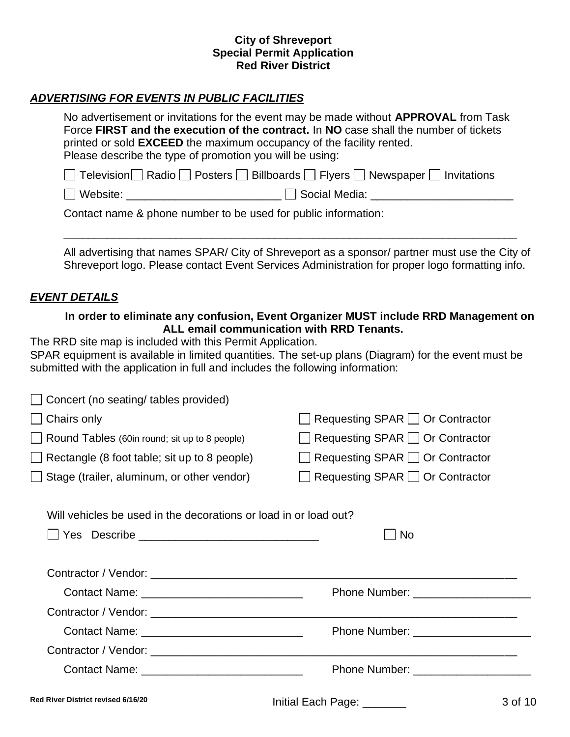# *ADVERTISING FOR EVENTS IN PUBLIC FACILITIES*

| No advertisement or invitations for the event may be made without <b>APPROVAL</b> from Task |  |  |  |  |  |
|---------------------------------------------------------------------------------------------|--|--|--|--|--|
| Force FIRST and the execution of the contract. In NO case shall the number of tickets       |  |  |  |  |  |
| printed or sold <b>EXCEED</b> the maximum occupancy of the facility rented.                 |  |  |  |  |  |
| Please describe the type of promotion you will be using:                                    |  |  |  |  |  |
| □ Television Radio □ Posters □ Billboards □ Flyers □ Newspaper □ Invitations                |  |  |  |  |  |
| □ Website: The Social Media:                                                                |  |  |  |  |  |
| Contact name & phone number to be used for public information:                              |  |  |  |  |  |

All advertising that names SPAR/ City of Shreveport as a sponsor/ partner must use the City of Shreveport logo. Please contact Event Services Administration for proper logo formatting info.

\_\_\_\_\_\_\_\_\_\_\_\_\_\_\_\_\_\_\_\_\_\_\_\_\_\_\_\_\_\_\_\_\_\_\_\_\_\_\_\_\_\_\_\_\_\_\_\_\_\_\_\_\_\_\_\_\_\_\_\_\_\_\_\_\_\_\_\_\_\_\_\_\_

#### *EVENT DETAILS*

## **In order to eliminate any confusion, Event Organizer MUST include RRD Management on ALL email communication with RRD Tenants.**

The RRD site map is included with this Permit Application.

SPAR equipment is available in limited quantities. The set-up plans (Diagram) for the event must be submitted with the application in full and includes the following information:

| $\Box$ Concert (no seating/ tables provided)        |                                             |
|-----------------------------------------------------|---------------------------------------------|
| $\Box$ Chairs only                                  | $\Box$ Requesting SPAR $\Box$ Or Contractor |
| Round Tables (60in round; sit up to 8 people)       | $\Box$ Requesting SPAR $\Box$ Or Contractor |
| $\Box$ Rectangle (8 foot table; sit up to 8 people) | $\Box$ Requesting SPAR $\Box$ Or Contractor |
| $\Box$ Stage (trailer, aluminum, or other vendor)   | $\Box$ Requesting SPAR $\Box$ Or Contractor |
|                                                     |                                             |

Will vehicles be used in the decorations or load in or load out?

| No                                    |
|---------------------------------------|
|                                       |
|                                       |
|                                       |
| Phone Number: _______________________ |
|                                       |
|                                       |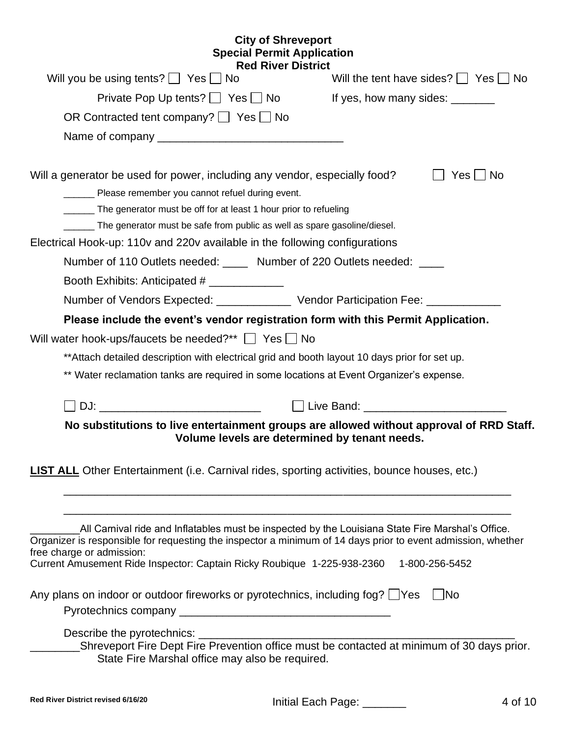# **City of Shreveport Special Permit Application**

| <b>Red River District</b>                                                                                                                     |                                                |
|-----------------------------------------------------------------------------------------------------------------------------------------------|------------------------------------------------|
| Will you be using tents? $\Box$ Yes $\Box$ No                                                                                                 | Will the tent have sides? $\Box$ Yes $\Box$ No |
| Private Pop Up tents? $\Box$ Yes $\Box$ No                                                                                                    | If yes, how many sides: _______                |
| OR Contracted tent company? $\Box$ Yes $\Box$ No                                                                                              |                                                |
|                                                                                                                                               |                                                |
| Will a generator be used for power, including any vendor, especially food?                                                                    | Yes     No                                     |
| Please remember you cannot refuel during event.                                                                                               |                                                |
| The generator must be off for at least 1 hour prior to refueling                                                                              |                                                |
| The generator must be safe from public as well as spare gasoline/diesel.                                                                      |                                                |
| Electrical Hook-up: 110v and 220v available in the following configurations                                                                   |                                                |
| Number of 110 Outlets needed: _____ Number of 220 Outlets needed: ____                                                                        |                                                |
| Booth Exhibits: Anticipated # ______________                                                                                                  |                                                |
| Number of Vendors Expected: _______________ Vendor Participation Fee: __________                                                              |                                                |
| Please include the event's vendor registration form with this Permit Application.                                                             |                                                |
| Will water hook-ups/faucets be needed?**   Yes   No                                                                                           |                                                |
| ** Attach detailed description with electrical grid and booth layout 10 days prior for set up.                                                |                                                |
| ** Water reclamation tanks are required in some locations at Event Organizer's expense.                                                       |                                                |
|                                                                                                                                               |                                                |
| No substitutions to live entertainment groups are allowed without approval of RRD Staff.                                                      |                                                |
| Volume levels are determined by tenant needs.                                                                                                 |                                                |
|                                                                                                                                               |                                                |
| <b>LIST ALL</b> Other Entertainment (i.e. Carnival rides, sporting activities, bounce houses, etc.)                                           |                                                |
|                                                                                                                                               |                                                |
|                                                                                                                                               |                                                |
| All Carnival ride and Inflatables must be inspected by the Louisiana State Fire Marshal's Office.                                             |                                                |
| Organizer is responsible for requesting the inspector a minimum of 14 days prior to event admission, whether<br>free charge or admission:     |                                                |
| Current Amusement Ride Inspector: Captain Ricky Roubique 1-225-938-2360 1-800-256-5452                                                        |                                                |
|                                                                                                                                               |                                                |
| Any plans on indoor or outdoor fireworks or pyrotechnics, including fog? UYes                                                                 | No                                             |
|                                                                                                                                               |                                                |
|                                                                                                                                               |                                                |
| Shreveport Fire Dept Fire Prevention office must be contacted at minimum of 30 days prior.<br>State Fire Marshal office may also be required. |                                                |
|                                                                                                                                               |                                                |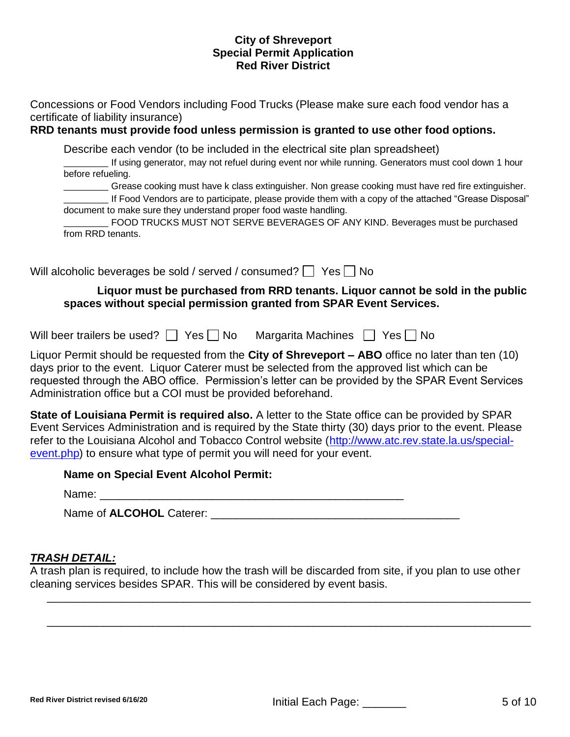Concessions or Food Vendors including Food Trucks (Please make sure each food vendor has a certificate of liability insurance)

# **RRD tenants must provide food unless permission is granted to use other food options.**

Describe each vendor (to be included in the electrical site plan spreadsheet)

\_\_\_\_\_\_\_\_ If using generator, may not refuel during event nor while running. Generators must cool down 1 hour before refueling.

Grease cooking must have k class extinguisher. Non grease cooking must have red fire extinguisher.

\_\_\_\_\_\_\_\_ If Food Vendors are to participate, please provide them with a copy of the attached "Grease Disposal" document to make sure they understand proper food waste handling.

|                   | FOOD TRUCKS MUST NOT SERVE BEVERAGES OF ANY KIND. Beverages must be purchased |  |  |  |  |  |
|-------------------|-------------------------------------------------------------------------------|--|--|--|--|--|
| from RRD tenants. |                                                                               |  |  |  |  |  |

Will alcoholic beverages be sold / served / consumed?  $\Box$  Yes  $\Box$  No

# **Liquor must be purchased from RRD tenants. Liquor cannot be sold in the public spaces without special permission granted from SPAR Event Services.**

Will beer trailers be used?  $\Box$  Yes  $\Box$  No Margarita Machines  $\Box$  Yes  $\Box$  No

Liquor Permit should be requested from the **City of Shreveport – ABO** office no later than ten (10) days prior to the event. Liquor Caterer must be selected from the approved list which can be requested through the ABO office. Permission's letter can be provided by the SPAR Event Services Administration office but a COI must be provided beforehand.

**State of Louisiana Permit is required also.** A letter to the State office can be provided by SPAR Event Services Administration and is required by the State thirty (30) days prior to the event. Please refer to the Louisiana Alcohol and Tobacco Control website [\(http://www.atc.rev.state.la.us/special](http://www.atc.rev.state.la.us/special-event.php)[event.php\)](http://www.atc.rev.state.la.us/special-event.php) to ensure what type of permit you will need for your event.

Name of **ALCOHOL** Caterer: **Example 20** and 20 and 20 and 20 and 20 and 20 and 20 and 20 and 20 and 20 and 20 and 20 and 20 and 20 and 20 and 20 and 20 and 20 and 20 and 20 and 20 and 20 and 20 and 20 and 20 and 20 and 20

# *TRASH DETAIL:*

A trash plan is required, to include how the trash will be discarded from site, if you plan to use other cleaning services besides SPAR. This will be considered by event basis.

\_\_\_\_\_\_\_\_\_\_\_\_\_\_\_\_\_\_\_\_\_\_\_\_\_\_\_\_\_\_\_\_\_\_\_\_\_\_\_\_\_\_\_\_\_\_\_\_\_\_\_\_\_\_\_\_\_\_\_\_\_\_\_\_\_\_\_\_\_\_\_\_\_\_\_\_\_\_

\_\_\_\_\_\_\_\_\_\_\_\_\_\_\_\_\_\_\_\_\_\_\_\_\_\_\_\_\_\_\_\_\_\_\_\_\_\_\_\_\_\_\_\_\_\_\_\_\_\_\_\_\_\_\_\_\_\_\_\_\_\_\_\_\_\_\_\_\_\_\_\_\_\_\_\_\_\_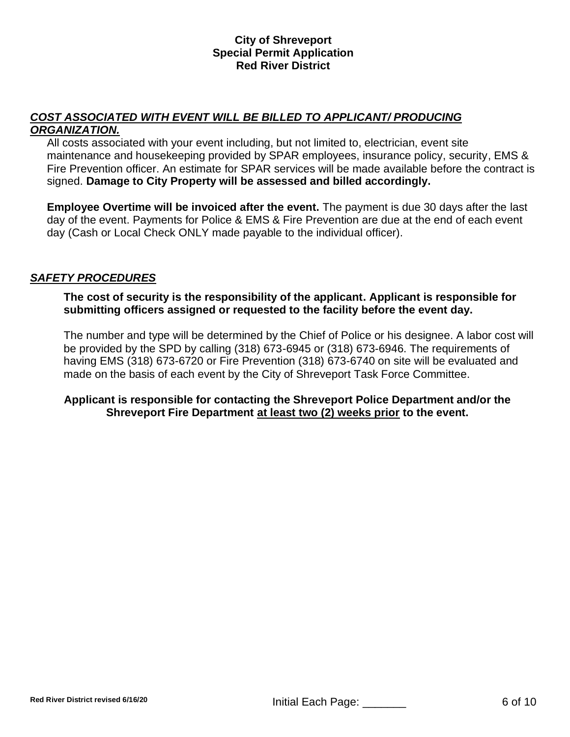# *COST ASSOCIATED WITH EVENT WILL BE BILLED TO APPLICANT/ PRODUCING ORGANIZATION.*

All costs associated with your event including, but not limited to, electrician, event site maintenance and housekeeping provided by SPAR employees, insurance policy, security, EMS & Fire Prevention officer. An estimate for SPAR services will be made available before the contract is signed. **Damage to City Property will be assessed and billed accordingly.**

**Employee Overtime will be invoiced after the event.** The payment is due 30 days after the last day of the event. Payments for Police & EMS & Fire Prevention are due at the end of each event day (Cash or Local Check ONLY made payable to the individual officer).

# *SAFETY PROCEDURES*

**The cost of security is the responsibility of the applicant. Applicant is responsible for submitting officers assigned or requested to the facility before the event day.** 

The number and type will be determined by the Chief of Police or his designee. A labor cost will be provided by the SPD by calling (318) 673-6945 or (318) 673-6946. The requirements of having EMS (318) 673-6720 or Fire Prevention (318) 673-6740 on site will be evaluated and made on the basis of each event by the City of Shreveport Task Force Committee.

# **Applicant is responsible for contacting the Shreveport Police Department and/or the Shreveport Fire Department at least two (2) weeks prior to the event.**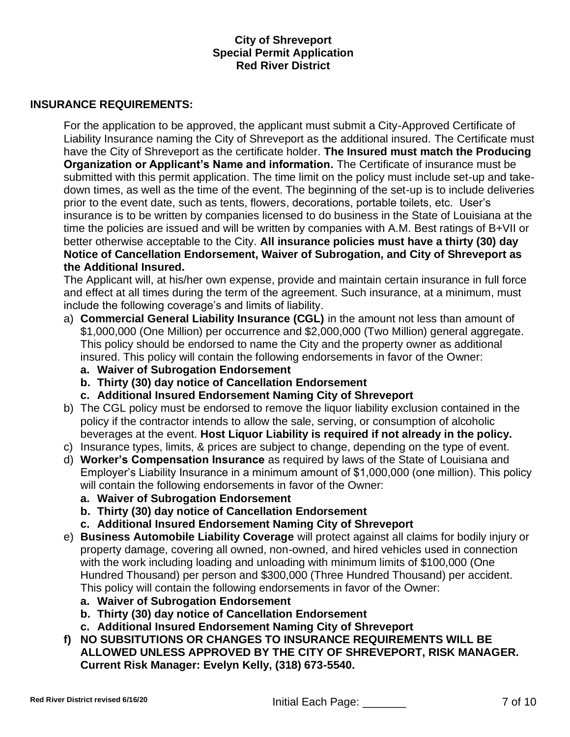#### **INSURANCE REQUIREMENTS:**

For the application to be approved, the applicant must submit a City-Approved Certificate of Liability Insurance naming the City of Shreveport as the additional insured. The Certificate must have the City of Shreveport as the certificate holder. **The Insured must match the Producing Organization or Applicant's Name and information.** The Certificate of insurance must be submitted with this permit application. The time limit on the policy must include set-up and takedown times, as well as the time of the event. The beginning of the set-up is to include deliveries prior to the event date, such as tents, flowers, decorations, portable toilets, etc. User's insurance is to be written by companies licensed to do business in the State of Louisiana at the time the policies are issued and will be written by companies with A.M. Best ratings of B+VII or better otherwise acceptable to the City. **All insurance policies must have a thirty (30) day Notice of Cancellation Endorsement, Waiver of Subrogation, and City of Shreveport as the Additional Insured.** 

The Applicant will, at his/her own expense, provide and maintain certain insurance in full force and effect at all times during the term of the agreement. Such insurance, at a minimum, must include the following coverage's and limits of liability.

- a) **Commercial General Liability Insurance (CGL)** in the amount not less than amount of \$1,000,000 (One Million) per occurrence and \$2,000,000 (Two Million) general aggregate. This policy should be endorsed to name the City and the property owner as additional insured. This policy will contain the following endorsements in favor of the Owner:
	- **a. Waiver of Subrogation Endorsement**
	- **b. Thirty (30) day notice of Cancellation Endorsement**
	- **c. Additional Insured Endorsement Naming City of Shreveport**
- b) The CGL policy must be endorsed to remove the liquor liability exclusion contained in the policy if the contractor intends to allow the sale, serving, or consumption of alcoholic beverages at the event. **Host Liquor Liability is required if not already in the policy.**
- c) Insurance types, limits, & prices are subject to change, depending on the type of event.
- d) **Worker's Compensation Insurance** as required by laws of the State of Louisiana and Employer's Liability Insurance in a minimum amount of \$1,000,000 (one million). This policy will contain the following endorsements in favor of the Owner:
	- **a. Waiver of Subrogation Endorsement**
	- **b. Thirty (30) day notice of Cancellation Endorsement**
	- **c. Additional Insured Endorsement Naming City of Shreveport**
- e) **Business Automobile Liability Coverage** will protect against all claims for bodily injury or property damage, covering all owned, non-owned, and hired vehicles used in connection with the work including loading and unloading with minimum limits of \$100,000 (One Hundred Thousand) per person and \$300,000 (Three Hundred Thousand) per accident. This policy will contain the following endorsements in favor of the Owner:
	- **a. Waiver of Subrogation Endorsement**
	- **b. Thirty (30) day notice of Cancellation Endorsement**
	- **c. Additional Insured Endorsement Naming City of Shreveport**
- **f) NO SUBSITUTIONS OR CHANGES TO INSURANCE REQUIREMENTS WILL BE ALLOWED UNLESS APPROVED BY THE CITY OF SHREVEPORT, RISK MANAGER. Current Risk Manager: Evelyn Kelly, (318) 673-5540.**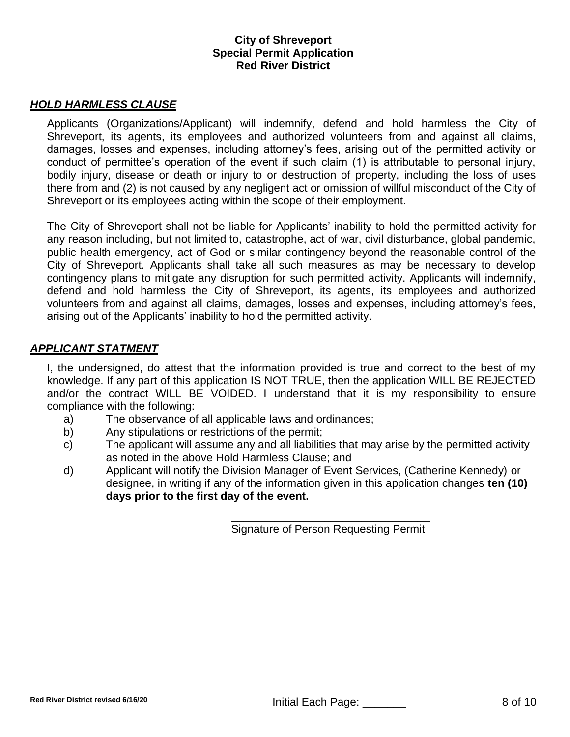## *HOLD HARMLESS CLAUSE*

Applicants (Organizations/Applicant) will indemnify, defend and hold harmless the City of Shreveport, its agents, its employees and authorized volunteers from and against all claims, damages, losses and expenses, including attorney's fees, arising out of the permitted activity or conduct of permittee's operation of the event if such claim (1) is attributable to personal injury, bodily injury, disease or death or injury to or destruction of property, including the loss of uses there from and (2) is not caused by any negligent act or omission of willful misconduct of the City of Shreveport or its employees acting within the scope of their employment.

The City of Shreveport shall not be liable for Applicants' inability to hold the permitted activity for any reason including, but not limited to, catastrophe, act of war, civil disturbance, global pandemic, public health emergency, act of God or similar contingency beyond the reasonable control of the City of Shreveport. Applicants shall take all such measures as may be necessary to develop contingency plans to mitigate any disruption for such permitted activity. Applicants will indemnify, defend and hold harmless the City of Shreveport, its agents, its employees and authorized volunteers from and against all claims, damages, losses and expenses, including attorney's fees, arising out of the Applicants' inability to hold the permitted activity.

#### *APPLICANT STATMENT*

I, the undersigned, do attest that the information provided is true and correct to the best of my knowledge. If any part of this application IS NOT TRUE, then the application WILL BE REJECTED and/or the contract WILL BE VOIDED. I understand that it is my responsibility to ensure compliance with the following:

- a) The observance of all applicable laws and ordinances;
- b) Any stipulations or restrictions of the permit;
- c) The applicant will assume any and all liabilities that may arise by the permitted activity as noted in the above Hold Harmless Clause; and
- d) Applicant will notify the Division Manager of Event Services, (Catherine Kennedy) or designee, in writing if any of the information given in this application changes **ten (10) days prior to the first day of the event.**

\_\_\_\_\_\_\_\_\_\_\_\_\_\_\_\_\_\_\_\_\_\_\_\_\_\_\_\_\_\_\_\_ Signature of Person Requesting Permit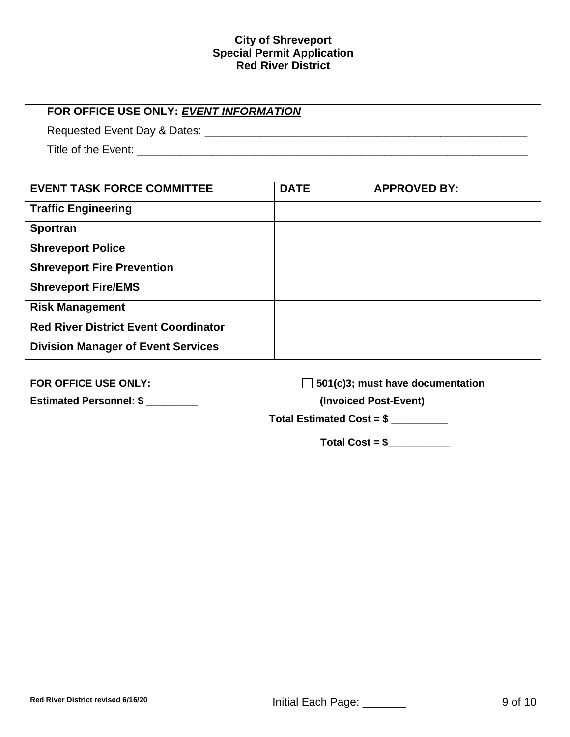| FOR OFFICE USE ONLY: EVENT INFORMATION      |                                  |                     |  |  |  |  |  |  |
|---------------------------------------------|----------------------------------|---------------------|--|--|--|--|--|--|
|                                             |                                  |                     |  |  |  |  |  |  |
|                                             |                                  |                     |  |  |  |  |  |  |
|                                             |                                  |                     |  |  |  |  |  |  |
| <b>EVENT TASK FORCE COMMITTEE</b>           | <b>DATE</b>                      | <b>APPROVED BY:</b> |  |  |  |  |  |  |
| <b>Traffic Engineering</b>                  |                                  |                     |  |  |  |  |  |  |
| <b>Sportran</b>                             |                                  |                     |  |  |  |  |  |  |
| <b>Shreveport Police</b>                    |                                  |                     |  |  |  |  |  |  |
| <b>Shreveport Fire Prevention</b>           |                                  |                     |  |  |  |  |  |  |
| <b>Shreveport Fire/EMS</b>                  |                                  |                     |  |  |  |  |  |  |
| <b>Risk Management</b>                      |                                  |                     |  |  |  |  |  |  |
| <b>Red River District Event Coordinator</b> |                                  |                     |  |  |  |  |  |  |
| <b>Division Manager of Event Services</b>   |                                  |                     |  |  |  |  |  |  |
|                                             |                                  |                     |  |  |  |  |  |  |
| FOR OFFICE USE ONLY:                        | 501(c)3; must have documentation |                     |  |  |  |  |  |  |
| <b>Estimated Personnel: \$</b>              | (Invoiced Post-Event)            |                     |  |  |  |  |  |  |
| Total Estimated Cost = $$$ ________         |                                  |                     |  |  |  |  |  |  |
| $Total Cost = $$                            |                                  |                     |  |  |  |  |  |  |